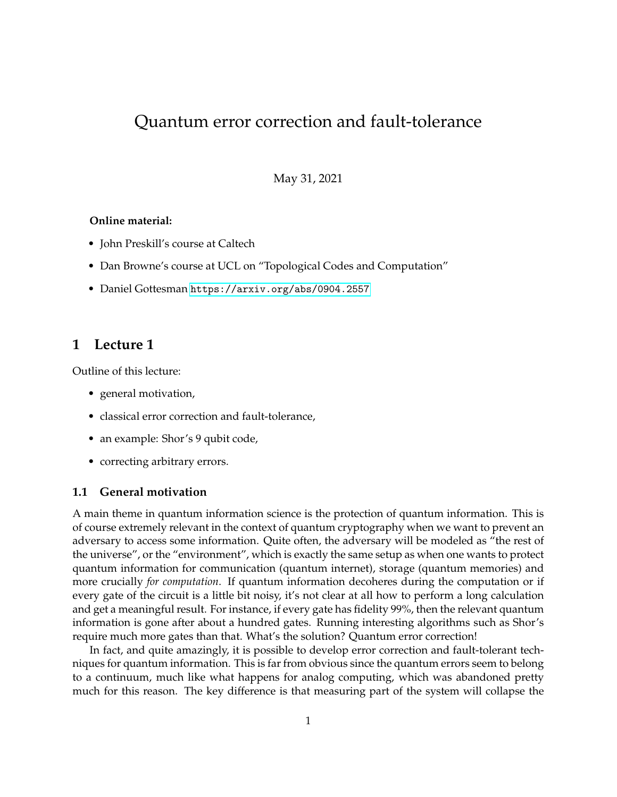# Quantum error correction and fault-tolerance

May 31, 2021

## **Online material:**

- John Preskill's course at Caltech
- Dan Browne's course at UCL on "Topological Codes and Computation"
- Daniel Gottesman <https://arxiv.org/abs/0904.2557>

# **1 Lecture 1**

Outline of this lecture:

- general motivation,
- classical error correction and fault-tolerance,
- an example: Shor's 9 qubit code,
- correcting arbitrary errors.

## **1.1 General motivation**

A main theme in quantum information science is the protection of quantum information. This is of course extremely relevant in the context of quantum cryptography when we want to prevent an adversary to access some information. Quite often, the adversary will be modeled as "the rest of the universe", or the "environment", which is exactly the same setup as when one wants to protect quantum information for communication (quantum internet), storage (quantum memories) and more crucially *for computation*. If quantum information decoheres during the computation or if every gate of the circuit is a little bit noisy, it's not clear at all how to perform a long calculation and get a meaningful result. For instance, if every gate has fidelity 99%, then the relevant quantum information is gone after about a hundred gates. Running interesting algorithms such as Shor's require much more gates than that. What's the solution? Quantum error correction!

In fact, and quite amazingly, it is possible to develop error correction and fault-tolerant techniques for quantum information. This is far from obvious since the quantum errors seem to belong to a continuum, much like what happens for analog computing, which was abandoned pretty much for this reason. The key difference is that measuring part of the system will collapse the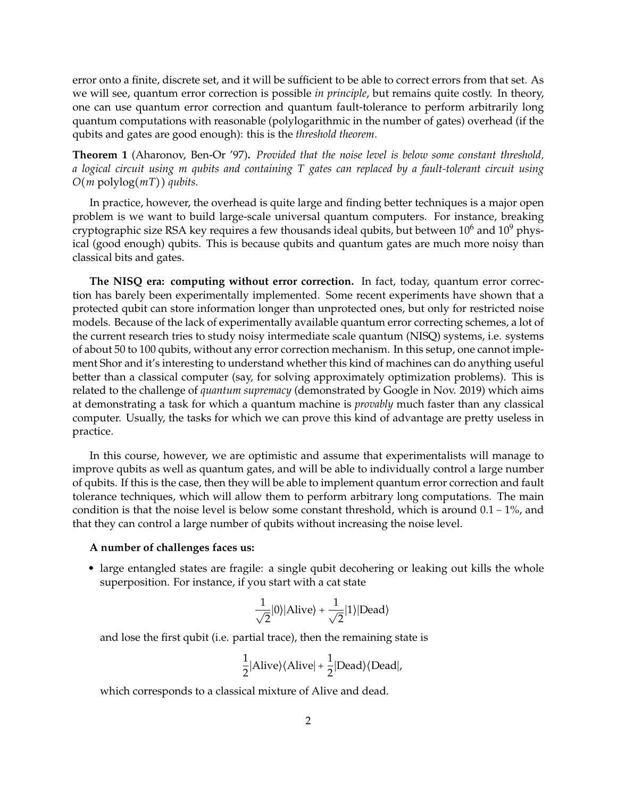error onto a finite, discrete set, and it will be sufficient to be able to correct errors from that set. As we will see, quantum error correction is possible *in principle*, but remains quite costly. In theory, one can use quantum error correction and quantum fault-tolerance to perform arbitrarily long quantum computations with reasonable (polylogarithmic in the number of gates) overhead (if the qubits and gates are good enough): this is the *threshold theorem*.

**Theorem 1** (Aharonov, Ben-Or '97)**.** *Provided that the noise level is below some constant threshold, a logical circuit using m qubits and containing T gates can replaced by a fault-tolerant circuit using <sup>O</sup>*(*<sup>m</sup>* polylog(*mT*)) *qubits.*

In practice, however, the overhead is quite large and finding better techniques is a major open problem is we want to build large-scale universal quantum computers. For instance, breaking cryptographic size RSA key requires a few thousands ideal qubits, but between  $10^6$  and  $10^9$  physical (good enough) qubits. This is because qubits and quantum gates are much more noisy than classical bits and gates.

**The NISQ era: computing without error correction.** In fact, today, quantum error correction has barely been experimentally implemented. Some recent experiments have shown that a protected qubit can store information longer than unprotected ones, but only for restricted noise models. Because of the lack of experimentally available quantum error correcting schemes, a lot of the current research tries to study noisy intermediate scale quantum (NISQ) systems, i.e. systems of about 50 to 100 qubits, without any error correction mechanism. In this setup, one cannot implement Shor and it's interesting to understand whether this kind of machines can do anything useful better than a classical computer (say, for solving approximately optimization problems). This is related to the challenge of *quantum supremacy* (demonstrated by Google in Nov. 2019) which aims at demonstrating a task for which a quantum machine is *provably* much faster than any classical computer. Usually, the tasks for which we can prove this kind of advantage are pretty useless in practice.

In this course, however, we are optimistic and assume that experimentalists will manage to improve qubits as well as quantum gates, and will be able to individually control a large number of qubits. If this is the case, then they will be able to implement quantum error correction and fault tolerance techniques, which will allow them to perform arbitrary long computations. The main condition is that the noise level is below some constant threshold, which is around 0.1 − 1%, and that they can control a large number of qubits without increasing the noise level.

## **A number of challenges faces us:**

• large entangled states are fragile: a single qubit decohering or leaking out kills the whole superposition. For instance, if you start with a cat state

$$
\frac{1}{\sqrt{2}}|0\rangle|\text{Alive}\rangle + \frac{1}{\sqrt{2}}|1\rangle|\text{Dead}\rangle
$$

and lose the first qubit (i.e. partial trace), then the remaining state is

$$
\frac{1}{2}|Alive\rangle\langleAlive| + \frac{1}{2}|Dead\rangle\langle Dead|,
$$

which corresponds to a classical mixture of Alive and dead.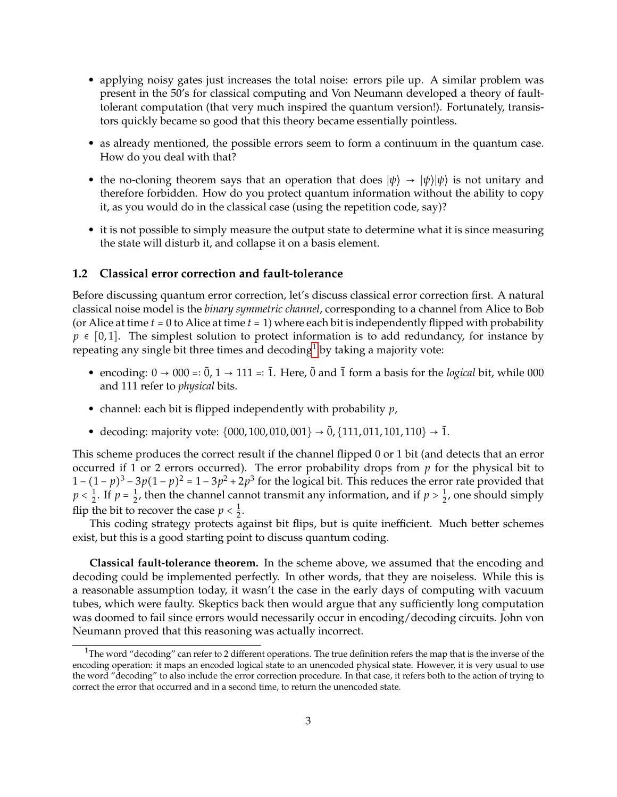- applying noisy gates just increases the total noise: errors pile up. A similar problem was present in the 50's for classical computing and Von Neumann developed a theory of faulttolerant computation (that very much inspired the quantum version!). Fortunately, transistors quickly became so good that this theory became essentially pointless.
- as already mentioned, the possible errors seem to form a continuum in the quantum case. How do you deal with that?
- the no-cloning theorem says that an operation that does  $|\psi\rangle \rightarrow |\psi\rangle |\psi\rangle$  is not unitary and therefore forbidden. How do you protect quantum information without the ability to copy it, as you would do in the classical case (using the repetition code, say)?
- it is not possible to simply measure the output state to determine what it is since measuring the state will disturb it, and collapse it on a basis element.

## **1.2 Classical error correction and fault-tolerance**

Before discussing quantum error correction, let's discuss classical error correction first. A natural classical noise model is the *binary symmetric channel*, corresponding to a channel from Alice to Bob (or Alice at time  $t = 0$  to Alice at time  $t = 1$ ) where each bit is independently flipped with probability  $p \in [0, 1]$ . The simplest solution to protect information is to add redundancy, for instance by repeating any single bit three times and decoding<sup>[1](#page-2-0)</sup> by taking a majority vote:

- encoding:  $0 \rightarrow 000 =: \overline{0}$ ,  $1 \rightarrow 111 =: \overline{1}$ . Here,  $\overline{0}$  and  $\overline{1}$  form a basis for the *logical* bit, while 000 and 111 refer to *physical* bits.
- channel: each bit is flipped independently with probability *p*,
- decoding: majority vote:  $\{000, 100, 010, 001\}$   $\rightarrow$   $\bar{0}$ ,  $\{111, 011, 101, 110\}$   $\rightarrow$   $\bar{1}$ .

This scheme produces the correct result if the channel flipped 0 or 1 bit (and detects that an error occurred if 1 or 2 errors occurred). The error probability drops from *p* for the physical bit to  $1 - (1 - p)^3 - 3p(1 - p)^2 = 1 - 3p^2 + 2p^3$  for the logical bit. This reduces the error rate provided that  $p < \frac{1}{2}$  $\frac{1}{2}$ . If  $p = \frac{1}{2}$  $\frac{1}{2}$ , then the channel cannot transmit any information, and if  $p > \frac{1}{2}$  $\frac{1}{2}$ , one should simply flip the bit to recover the case  $p < \frac{1}{2}$  $\frac{1}{2}$ .

This coding strategy protects against bit flips, but is quite inefficient. Much better schemes exist, but this is a good starting point to discuss quantum coding.

**Classical fault-tolerance theorem.** In the scheme above, we assumed that the encoding and decoding could be implemented perfectly. In other words, that they are noiseless. While this is a reasonable assumption today, it wasn't the case in the early days of computing with vacuum tubes, which were faulty. Skeptics back then would argue that any sufficiently long computation was doomed to fail since errors would necessarily occur in encoding/decoding circuits. John von Neumann proved that this reasoning was actually incorrect.

<span id="page-2-0"></span> $1$ The word "decoding" can refer to 2 different operations. The true definition refers the map that is the inverse of the encoding operation: it maps an encoded logical state to an unencoded physical state. However, it is very usual to use the word "decoding" to also include the error correction procedure. In that case, it refers both to the action of trying to correct the error that occurred and in a second time, to return the unencoded state.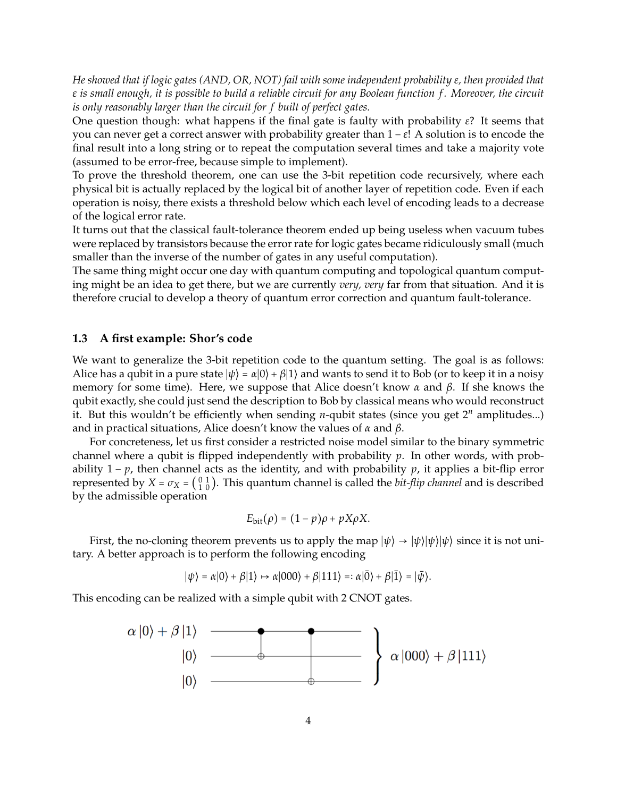*He showed that if logic gates (AND, OR, NOT) fail with some independent probability ε, then provided that ε is small enough, it is possible to build a reliable circuit for any Boolean function f . Moreover, the circuit is only reasonably larger than the circuit for f built of perfect gates.*

One question though: what happens if the final gate is faulty with probability *ε*? It seems that you can never get a correct answer with probability greater than 1 − *ε*! A solution is to encode the final result into a long string or to repeat the computation several times and take a majority vote (assumed to be error-free, because simple to implement).

To prove the threshold theorem, one can use the 3-bit repetition code recursively, where each physical bit is actually replaced by the logical bit of another layer of repetition code. Even if each operation is noisy, there exists a threshold below which each level of encoding leads to a decrease of the logical error rate.

It turns out that the classical fault-tolerance theorem ended up being useless when vacuum tubes were replaced by transistors because the error rate for logic gates became ridiculously small (much smaller than the inverse of the number of gates in any useful computation).

The same thing might occur one day with quantum computing and topological quantum computing might be an idea to get there, but we are currently *very, very* far from that situation. And it is therefore crucial to develop a theory of quantum error correction and quantum fault-tolerance.

## **1.3 A first example: Shor's code**

We want to generalize the 3-bit repetition code to the quantum setting. The goal is as follows: Alice has a qubit in a pure state  $|\psi\rangle = \alpha|0\rangle + \beta|1\rangle$  and wants to send it to Bob (or to keep it in a noisy memory for some time). Here, we suppose that Alice doesn't know *α* and *β*. If she knows the qubit exactly, she could just send the description to Bob by classical means who would reconstruct it. But this wouldn't be efficiently when sending *n*-qubit states (since you get 2*<sup>n</sup>* amplitudes...) and in practical situations, Alice doesn't know the values of *α* and *β*.

For concreteness, let us first consider a restricted noise model similar to the binary symmetric channel where a qubit is flipped independently with probability *p*. In other words, with probability 1 − *p*, then channel acts as the identity, and with probability *p*, it applies a bit-flip error represented by  $X = \sigma_X = \begin{pmatrix} 0 & 1 \\ 1 & 0 \end{pmatrix}$ . This quantum channel is called the *bit-flip channel* and is described by the admissible operation

$$
E_{\text{bit}}(\rho) = (1-p)\rho + pX\rho X.
$$

First, the no-cloning theorem prevents us to apply the map  $|\psi\rangle \rightarrow |\psi\rangle |\psi\rangle |\psi\rangle$  since it is not unitary. A better approach is to perform the following encoding

$$
|\psi\rangle=\alpha|0\rangle+\beta|1\rangle\mapsto \alpha|000\rangle+\beta|111\rangle=:\alpha|\bar{0}\rangle+\beta|\bar{1}\rangle=|\bar{\psi}\rangle.
$$

This encoding can be realized with a simple qubit with 2 CNOT gates.

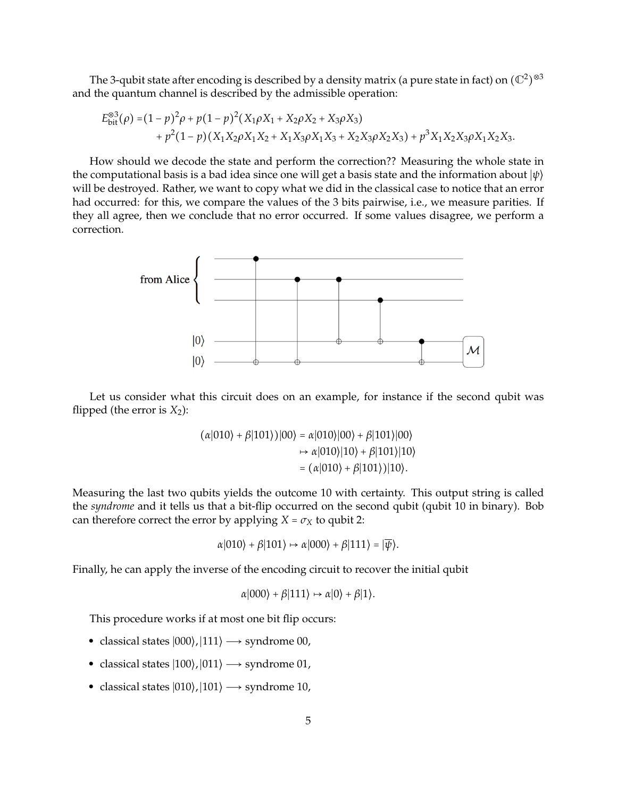The 3-qubit state after encoding is described by a density matrix (a pure state in fact) on  $(\mathbb{C}^2)^{\otimes 3}$ and the quantum channel is described by the admissible operation:

$$
E_{\text{bit}}^{\otimes 3}(\rho) = (1 - p)^2 \rho + p(1 - p)^2 (X_1 \rho X_1 + X_2 \rho X_2 + X_3 \rho X_3)
$$
  
+  $p^2 (1 - p) (X_1 X_2 \rho X_1 X_2 + X_1 X_3 \rho X_1 X_3 + X_2 X_3 \rho X_2 X_3) + p^3 X_1 X_2 X_3 \rho X_1 X_2 X_3.$ 

How should we decode the state and perform the correction?? Measuring the whole state in the computational basis is a bad idea since one will get a basis state and the information about <sup>∣</sup>*ψ*⟩ will be destroyed. Rather, we want to copy what we did in the classical case to notice that an error had occurred: for this, we compare the values of the 3 bits pairwise, i.e., we measure parities. If they all agree, then we conclude that no error occurred. If some values disagree, we perform a correction.



Let us consider what this circuit does on an example, for instance if the second qubit was flipped (the error is  $X_2$ ):

$$
(\alpha|010\rangle + \beta|101\rangle)|00\rangle = \alpha|010\rangle|00\rangle + \beta|101\rangle|00\rangle
$$
  

$$
\mapsto \alpha|010\rangle|10\rangle + \beta|101\rangle|10\rangle
$$
  

$$
= (\alpha|010\rangle + \beta|101\rangle)|10\rangle.
$$

Measuring the last two qubits yields the outcome 10 with certainty. This output string is called the *syndrome* and it tells us that a bit-flip occurred on the second qubit (qubit 10 in binary). Bob can therefore correct the error by applying  $X = \sigma_X$  to qubit 2:

$$
\alpha|010\rangle + \beta|101\rangle \mapsto \alpha|000\rangle + \beta|111\rangle = |\overline{\psi}\rangle.
$$

Finally, he can apply the inverse of the encoding circuit to recover the initial qubit

$$
\alpha|000\rangle + \beta|111\rangle \mapsto \alpha|0\rangle + \beta|1\rangle.
$$

This procedure works if at most one bit flip occurs:

- classical states  $|000\rangle$ ,  $|111\rangle \rightarrow$  syndrome 00,
- classical states  $|100\rangle$ ,  $|011\rangle \rightarrow$  syndrome 01,
- classical states  $|010\rangle, |101\rangle \rightarrow$  syndrome 10,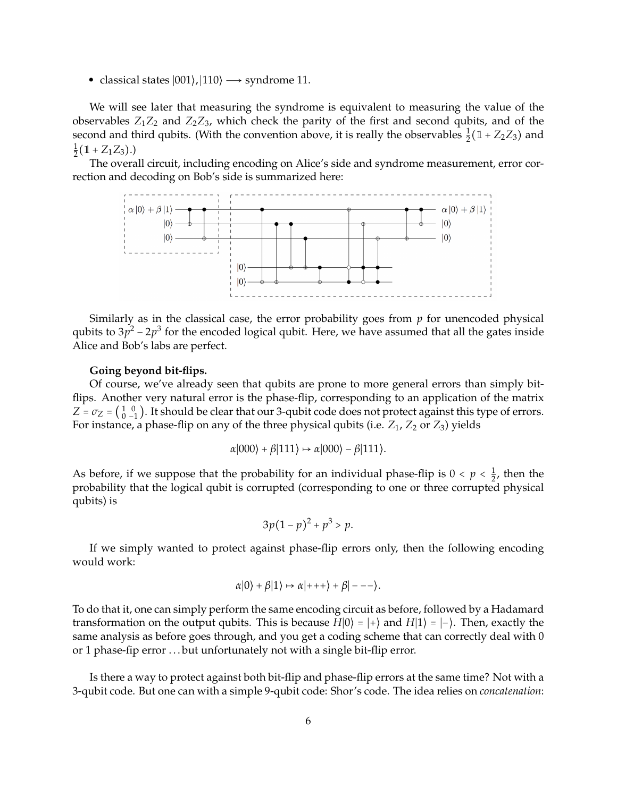• classical states  $|001\rangle$ ,  $|110\rangle \rightarrow$  syndrome 11.

We will see later that measuring the syndrome is equivalent to measuring the value of the observables  $Z_1Z_2$  and  $Z_2Z_3$ , which check the parity of the first and second qubits, and of the second and third qubits. (With the convention above, it is really the observables  $\frac{1}{2}(\mathbb{1} + Z_2Z_3)$  and 1  $\frac{1}{2}(\mathbb{1} + Z_1Z_3).$ 

The overall circuit, including encoding on Alice's side and syndrome measurement, error correction and decoding on Bob's side is summarized here:



Similarly as in the classical case, the error probability goes from *p* for unencoded physical qubits to  $3p^2 - 2p^3$  for the encoded logical qubit. Here, we have assumed that all the gates inside Alice and Bob's labs are perfect.

#### **Going beyond bit-flips.**

Of course, we've already seen that qubits are prone to more general errors than simply bitflips. Another very natural error is the phase-flip, corresponding to an application of the matrix  $Z = \sigma_Z = \begin{pmatrix} 1 & 0 \\ 0 & -1 \end{pmatrix}$ . It should be clear that our 3-qubit code does not protect against this type of errors. For instance, a phase-flip on any of the three physical qubits (i.e.  $Z_1$ ,  $Z_2$  or  $Z_3$ ) yields

$$
\alpha|000\rangle + \beta|111\rangle \mapsto \alpha|000\rangle - \beta|111\rangle.
$$

As before, if we suppose that the probability for an individual phase-flip is  $0 < p < \frac{1}{2}$  $\frac{1}{2}$ , then the probability that the logical qubit is corrupted (corresponding to one or three corrupted physical qubits) is

$$
3p(1-p)^2 + p^3 > p.
$$

If we simply wanted to protect against phase-flip errors only, then the following encoding would work:

$$
\alpha|0\rangle + \beta|1\rangle \mapsto \alpha|+++\rangle + \beta|---\rangle.
$$

To do that it, one can simply perform the same encoding circuit as before, followed by a Hadamard transformation on the output qubits. This is because  $H|0\rangle = |+\rangle$  and  $H|1\rangle = |-\rangle$ . Then, exactly the same analysis as before goes through, and you get a coding scheme that can correctly deal with 0 or 1 phase-fip error . . . but unfortunately not with a single bit-flip error.

Is there a way to protect against both bit-flip and phase-flip errors at the same time? Not with a 3-qubit code. But one can with a simple 9-qubit code: Shor's code. The idea relies on *concatenation*: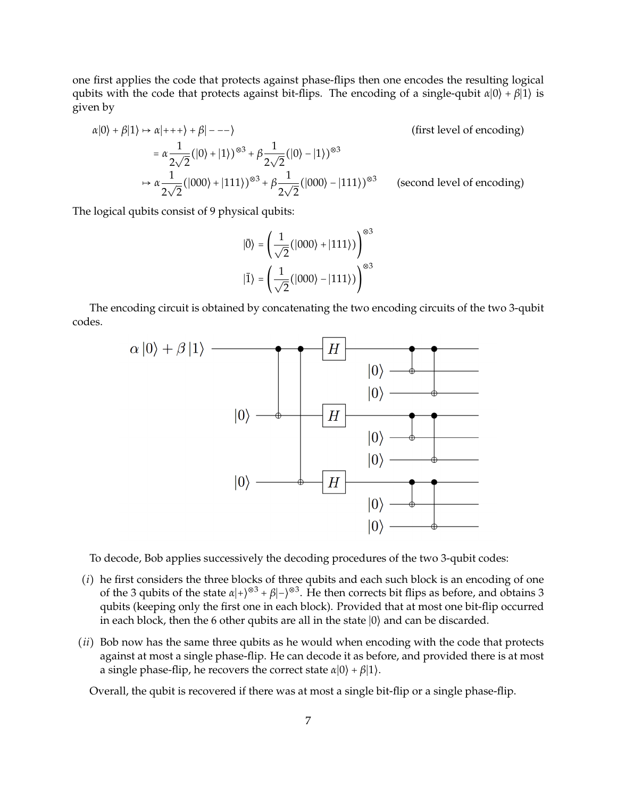one first applies the code that protects against phase-flips then one encodes the resulting logical qubits with the code that protects against bit-flips. The encoding of a single-qubit *<sup>α</sup>*∣0⟩ <sup>+</sup> *<sup>β</sup>*∣1⟩ is given by

$$
\alpha|0\rangle + \beta|1\rangle \mapsto \alpha|++\rangle + \beta|---\rangle
$$
 (first level of encoding)  
=  $\alpha \frac{1}{2\sqrt{2}}(|0\rangle + |1\rangle)^{\otimes 3} + \beta \frac{1}{2\sqrt{2}}(|0\rangle - |1\rangle)^{\otimes 3}$   
 $\mapsto \alpha \frac{1}{2\sqrt{2}}(|000\rangle + |111\rangle)^{\otimes 3} + \beta \frac{1}{2\sqrt{2}}(|000\rangle - |111\rangle)^{\otimes 3}$  (second level of encoding)

The logical qubits consist of 9 physical qubits:

$$
|\overline{0}\rangle = \left(\frac{1}{\sqrt{2}}(|000\rangle + |111\rangle)\right)^{\otimes 3}
$$

$$
|\overline{1}\rangle = \left(\frac{1}{\sqrt{2}}(|000\rangle - |111\rangle)\right)^{\otimes 3}
$$

The encoding circuit is obtained by concatenating the two encoding circuits of the two 3-qubit codes.



To decode, Bob applies successively the decoding procedures of the two 3-qubit codes:

- (*i*) he first considers the three blocks of three qubits and each such block is an encoding of one of the 3 qubits of the state  $\alpha$ |+ $\rho$ <sup>⊗3</sup> +  $\beta$ |− $\rho$ <sup>⊗3</sup>. He then corrects bit flips as before, and obtains 3 qubits (keeping only the first one in each block). Provided that at most one bit-flip occurred in each block, then the 6 other qubits are all in the state  $|0\rangle$  and can be discarded.
- (*ii*) Bob now has the same three qubits as he would when encoding with the code that protects against at most a single phase-flip. He can decode it as before, and provided there is at most a single phase-flip, he recovers the correct state  $\alpha|0\rangle + \beta|1\rangle$ .

Overall, the qubit is recovered if there was at most a single bit-flip or a single phase-flip.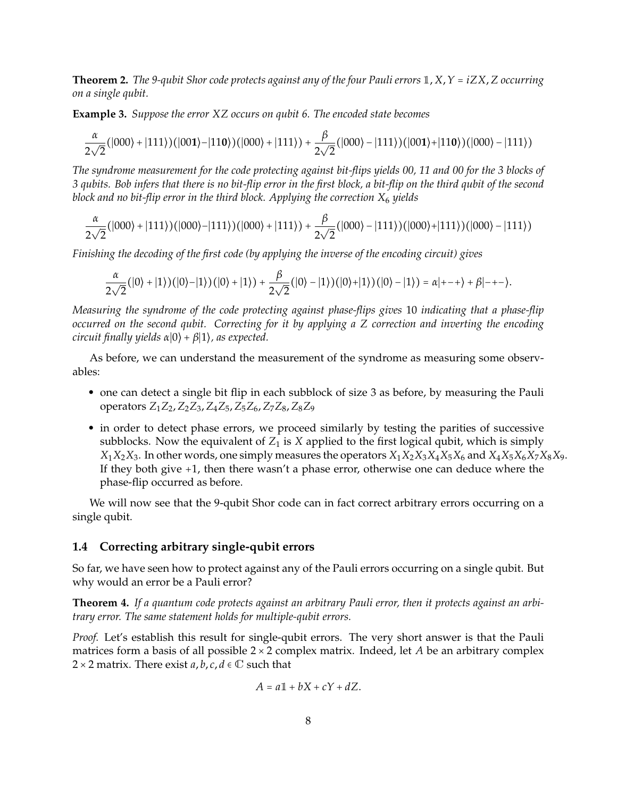**Theorem 2.** *The 9-qubit Shor code protects against any of the four Pauli errors* <sup>1</sup>, *<sup>X</sup>*,*<sup>Y</sup>* <sup>=</sup> *iZX*, *Z occurring on a single qubit.*

**Example 3.** *Suppose the error XZ occurs on qubit 6. The encoded state becomes*

$$
\frac{\alpha}{2\sqrt{2}}(|000\rangle+|111\rangle)(|001\rangle-|110\rangle)(|000\rangle+|111\rangle)+\frac{\beta}{2\sqrt{2}}(|000\rangle-|111\rangle)(|001\rangle+|110\rangle)(|000\rangle-|111\rangle)
$$

*The syndrome measurement for the code protecting against bit-flips yields 00, 11 and 00 for the 3 blocks of 3 qubits. Bob infers that there is no bit-flip error in the first block, a bit-flip on the third qubit of the second block and no bit-flip error in the third block. Applying the correction X*<sup>6</sup> *yields*

$$
\frac{\alpha}{2\sqrt{2}}(|000\rangle+|111\rangle)(|000\rangle-|111\rangle)(|000\rangle+|111\rangle)+\frac{\beta}{2\sqrt{2}}(|000\rangle-|111\rangle)(|000\rangle+|111\rangle)(|000\rangle-|111\rangle)
$$

*Finishing the decoding of the first code (by applying the inverse of the encoding circuit) gives*

$$
\frac{\alpha}{2\sqrt{2}}(|0\rangle+|1\rangle)(|0\rangle-|1\rangle)(|0\rangle+|1\rangle)+\frac{\beta}{2\sqrt{2}}(|0\rangle-|1\rangle)(|0\rangle+|1\rangle)(|0\rangle-|1\rangle)=\alpha|---\rangle+\beta|---\rangle.
$$

*Measuring the syndrome of the code protecting against phase-flips gives* 10 *indicating that a phase-flip occurred on the second qubit. Correcting for it by applying a Z correction and inverting the encoding circuit finally yields <sup>α</sup>*∣0⟩ <sup>+</sup> *<sup>β</sup>*∣1⟩*, as expected.*

As before, we can understand the measurement of the syndrome as measuring some observables:

- one can detect a single bit flip in each subblock of size 3 as before, by measuring the Pauli operators *Z*1*Z*2, *Z*2*Z*3, *Z*4*Z*5, *Z*5*Z*6, *Z*7*Z*8, *Z*8*Z*<sup>9</sup>
- in order to detect phase errors, we proceed similarly by testing the parities of successive subblocks. Now the equivalent of  $Z_1$  is  $X$  applied to the first logical qubit, which is simply  $X_1X_2X_3$ . In other words, one simply measures the operators  $X_1X_2X_3X_4X_5X_6$  and  $X_4X_5X_6X_7X_8X_9$ . If they both give +1, then there wasn't a phase error, otherwise one can deduce where the phase-flip occurred as before.

We will now see that the 9-qubit Shor code can in fact correct arbitrary errors occurring on a single qubit.

## **1.4 Correcting arbitrary single-qubit errors**

So far, we have seen how to protect against any of the Pauli errors occurring on a single qubit. But why would an error be a Pauli error?

**Theorem 4.** *If a quantum code protects against an arbitrary Pauli error, then it protects against an arbitrary error. The same statement holds for multiple-qubit errors.*

*Proof.* Let's establish this result for single-qubit errors. The very short answer is that the Pauli matrices form a basis of all possible 2 × 2 complex matrix. Indeed, let *A* be an arbitrary complex 2 × 2 matrix. There exist  $a, b, c, d \in \mathbb{C}$  such that

$$
A = a\mathbb{1} + bX + cY + dZ.
$$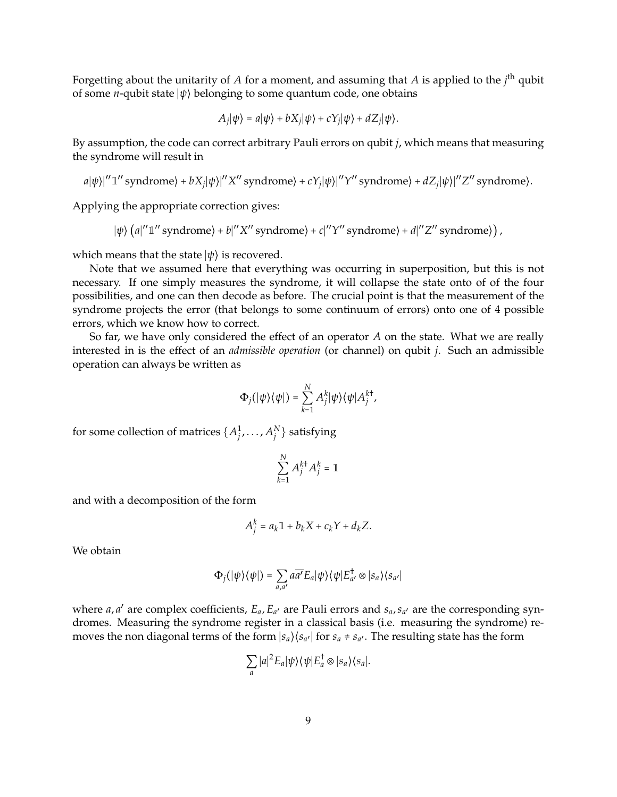Forgetting about the unitarity of *A* for a moment, and assuming that *A* is applied to the *j* th qubit of some *<sup>n</sup>*-qubit state <sup>∣</sup>*ψ*⟩ belonging to some quantum code, one obtains

$$
A_j|\psi\rangle = a|\psi\rangle + bX_j|\psi\rangle + cY_j|\psi\rangle + dZ_j|\psi\rangle.
$$

By assumption, the code can correct arbitrary Pauli errors on qubit *j*, which means that measuring the syndrome will result in

$$
a|\psi\rangle|''1''
$$
 syndrome $\rangle + bX_j|\psi\rangle|''X''$  syndrome $\rangle + cY_j|\psi\rangle|''Y''$  syndrome $\rangle + dZ_j|\psi\rangle|''Z''$  syndrome $\rangle.$ 

Applying the appropriate correction gives:

$$
|\psi\rangle (a|''1'' \text{ syndrome}) + b|''X'' \text{ syndrome}) + c|''Y'' \text{ syndrome}) + d|''Z'' \text{ syndrome})
$$

which means that the state <sup>∣</sup>*ψ*⟩ is recovered.

Note that we assumed here that everything was occurring in superposition, but this is not necessary. If one simply measures the syndrome, it will collapse the state onto of of the four possibilities, and one can then decode as before. The crucial point is that the measurement of the syndrome projects the error (that belongs to some continuum of errors) onto one of 4 possible errors, which we know how to correct.

So far, we have only considered the effect of an operator *A* on the state. What we are really interested in is the effect of an *admissible operation* (or channel) on qubit *j*. Such an admissible operation can always be written as

$$
\Phi_j(|\psi\rangle\langle\psi|)=\sum_{k=1}^NA_j^k|\psi\rangle\langle\psi|A_j^{k\dagger},
$$

for some collection of matrices  $\{A_j^1, \ldots, A_j^N\}$  satisfying

$$
\sum_{k=1}^N A_j^{k\dagger} A_j^k = \mathbb{1}
$$

and with a decomposition of the form

$$
A_j^k = a_k \mathbb{1} + b_k X + c_k Y + d_k Z.
$$

We obtain

$$
\Phi_j(\vert\psi\rangle\langle\psi\vert)=\sum_{a,a'}a\overline{a'}E_a\vert\psi\rangle\langle\psi\vert E_{a'}^{\dagger}\otimes\vert s_a\rangle\langle s_{a'}\vert
$$

where *a*, *a'* are complex coefficients,  $E_a$ ,  $E_{a'}$  are Pauli errors and  $s_a$ ,  $s_{a'}$  are the corresponding syndromes. Measuring the syndrome register in a classical basis (i.e. measuring the syndrome) removes the non diagonal terms of the form  $|s_a\rangle\langle s_{a'}|$  for  $s_a \neq s_{a'}$ . The resulting state has the form

$$
\sum_a |a|^2 E_a |\psi\rangle\langle\psi| E_a^\dagger \otimes |s_a\rangle\langle s_a|.
$$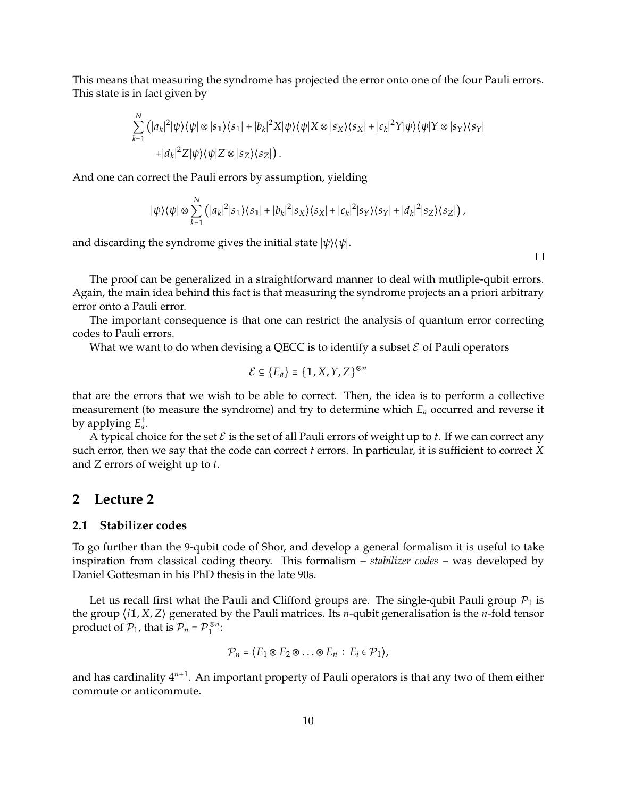This means that measuring the syndrome has projected the error onto one of the four Pauli errors. This state is in fact given by

$$
\sum_{k=1}^N (|a_k|^2 |\psi\rangle\langle\psi| \otimes |s_1\rangle\langle s_1| + |b_k|^2 X |\psi\rangle\langle\psi| X \otimes |s_X\rangle\langle s_X| + |c_k|^2 Y |\psi\rangle\langle\psi| Y \otimes |s_Y\rangle\langle s_Y| + |d_k|^2 Z |\psi\rangle\langle\psi| Z \otimes |s_Z\rangle\langle s_Z|).
$$

And one can correct the Pauli errors by assumption, yielding

$$
|\psi\rangle\langle\psi| \otimes \sum_{k=1}^N \left(|a_k|^2|s_1\rangle\langle s_1|+|b_k|^2|s_X\rangle\langle s_X|+|c_k|^2|s_Y\rangle\langle s_Y|+|d_k|^2|s_Z\rangle\langle s_Z|\right),
$$

and discarding the syndrome gives the initial state <sup>∣</sup>*ψ*⟩⟨*ψ*∣.

 $\Box$ 

The proof can be generalized in a straightforward manner to deal with mutliple-qubit errors. Again, the main idea behind this fact is that measuring the syndrome projects an a priori arbitrary error onto a Pauli error.

The important consequence is that one can restrict the analysis of quantum error correcting codes to Pauli errors.

What we want to do when devising a QECC is to identify a subset  $\mathcal E$  of Pauli operators

$$
\mathcal{E} \subseteq \{E_a\} \equiv \{\mathbb{1}, X, Y, Z\}^{\otimes n}
$$

that are the errors that we wish to be able to correct. Then, the idea is to perform a collective measurement (to measure the syndrome) and try to determine which *E<sup>a</sup>* occurred and reverse it by applying *E* † *a* .

A typical choice for the set  $\mathcal E$  is the set of all Pauli errors of weight up to  $t$ . If we can correct any such error, then we say that the code can correct *t* errors. In particular, it is sufficient to correct *X* and *Z* errors of weight up to *t*.

## **2 Lecture 2**

## **2.1 Stabilizer codes**

To go further than the 9-qubit code of Shor, and develop a general formalism it is useful to take inspiration from classical coding theory. This formalism – *stabilizer codes* – was developed by Daniel Gottesman in his PhD thesis in the late 90s.

Let us recall first what the Pauli and Clifford groups are. The single-qubit Pauli group  $\mathcal{P}_1$  is the group ⟨*i*1, *<sup>X</sup>*, *<sup>Z</sup>*⟩ generated by the Pauli matrices. Its *<sup>n</sup>*-qubit generalisation is the *<sup>n</sup>*-fold tensor product of  $P_1$ , that is  $P_n = P_1^{\otimes n}$ :

$$
\mathcal{P}_n = \langle E_1 \otimes E_2 \otimes \ldots \otimes E_n : E_i \in \mathcal{P}_1 \rangle,
$$

and has cardinality 4*n*+<sup>1</sup> . An important property of Pauli operators is that any two of them either commute or anticommute.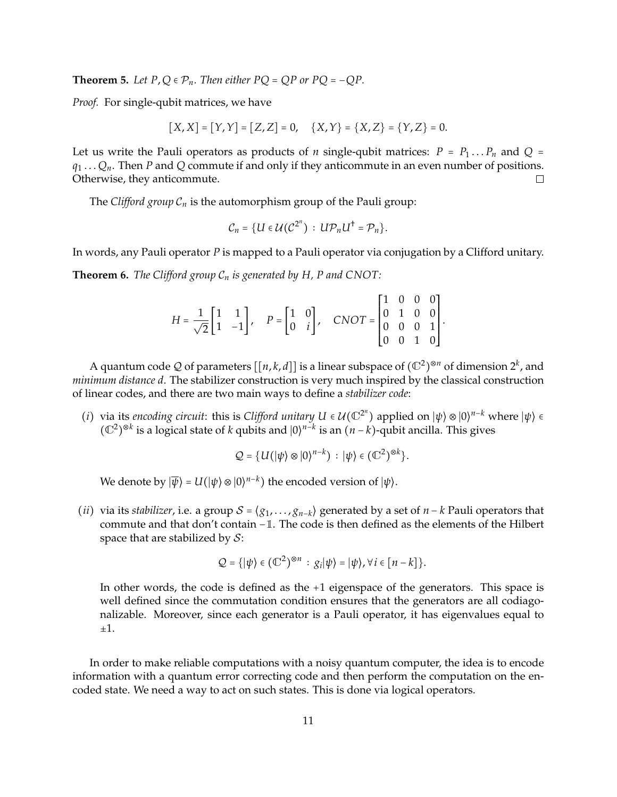**Theorem 5.** Let  $P$ ,  $Q \in \mathcal{P}_n$ . Then either  $PQ = QP$  or  $PQ = -QP$ .

*Proof.* For single-qubit matrices, we have

$$
[X,X] = [Y,Y] = [Z,Z] = 0, \quad \{X,Y\} = \{X,Z\} = \{Y,Z\} = 0.
$$

Let us write the Pauli operators as products of *n* single-qubit matrices:  $P = P_1 \dots P_n$  and  $Q =$  $q_1 \ldots Q_n$ . Then *P* and *Q* commute if and only if they anticommute in an even number of positions. Otherwise, they anticommute.  $\Box$ 

The *Clifford group*  $C_n$  is the automorphism group of the Pauli group:

$$
C_n = \{U \in \mathcal{U}(\mathcal{C}^{2^n}) : U \mathcal{P}_n U^{\dagger} = \mathcal{P}_n\}.
$$

In words, any Pauli operator *P* is mapped to a Pauli operator via conjugation by a Clifford unitary.

**Theorem 6.** *The Clifford group* C*<sup>n</sup> is generated by H, P and CNOT:*

| $H = \frac{1}{\sqrt{2}} \begin{bmatrix} 1 & 1 \\ 1 & -1 \end{bmatrix}$ , $P = \begin{bmatrix} 1 & 0 \\ 0 & i \end{bmatrix}$ , $CNOT = \begin{bmatrix} 1 & 0 & 0 & 0 \\ 0 & 1 & 0 & 0 \\ 0 & 0 & 0 & 1 \\ 0 & 0 & 1 & 0 \end{bmatrix}$ . |  |  |  |  |  |
|-----------------------------------------------------------------------------------------------------------------------------------------------------------------------------------------------------------------------------------------|--|--|--|--|--|
|                                                                                                                                                                                                                                         |  |  |  |  |  |
|                                                                                                                                                                                                                                         |  |  |  |  |  |
|                                                                                                                                                                                                                                         |  |  |  |  |  |

A quantum code Q of parameters  $[[n, k, d]]$  is a linear subspace of  $(\mathbb{C}^2)^{\otimes n}$  of dimension  $2^k$ , and *minimum distance d*. The stabilizer construction is very much inspired by the classical construction of linear codes, and there are two main ways to define a *stabilizer code*:

(*i*) via its *encoding circuit:* this is *Clifford unitary*  $U \in \mathcal{U}(\mathbb{C}^{2^n})$  applied on  $|\psi\rangle \otimes |0\rangle^{n-k}$  where  $|\psi\rangle \in$   $(\mathbb{C}^{2})^{\otimes k}$  is a logical state of *h* white and  $|0\rangle^{n-k}$  is an  $(u-h)$  white anilla. Thi  $(\mathbb{C}^2)$ ⊗*k* is a logical state of *<sup>k</sup>* qubits and <sup>∣</sup>0⟩ *n*−*k* is an (*<sup>n</sup>* <sup>−</sup> *<sup>k</sup>*)-qubit ancilla. This gives

$$
\mathcal{Q} = \{U(|\psi\rangle \otimes |0\rangle^{n-k}) : |\psi\rangle \in (\mathbb{C}^2)^{\otimes k}\}.
$$

We denote by  $|\overline{\psi}\rangle = U(|\psi\rangle \otimes |0\rangle^{n-k})$  the encoded version of  $|\psi\rangle$ .

(*ii*) via its *stabilizer*, i.e. a group  $S = \langle g_1, \ldots, g_{n-k} \rangle$  generated by a set of  $n - k$  Pauli operators that commute and that don't contain <sup>−</sup>1. The code is then defined as the elements of the Hilbert space that are stabilized by  $S$ :

$$
\mathcal{Q} = \{|\psi\rangle \in (\mathbb{C}^2)^{\otimes n} : g_i|\psi\rangle = |\psi\rangle, \forall i \in [n-k]\}.
$$

In other words, the code is defined as the +1 eigenspace of the generators. This space is well defined since the commutation condition ensures that the generators are all codiagonalizable. Moreover, since each generator is a Pauli operator, it has eigenvalues equal to  $\pm 1$ .

In order to make reliable computations with a noisy quantum computer, the idea is to encode information with a quantum error correcting code and then perform the computation on the encoded state. We need a way to act on such states. This is done via logical operators.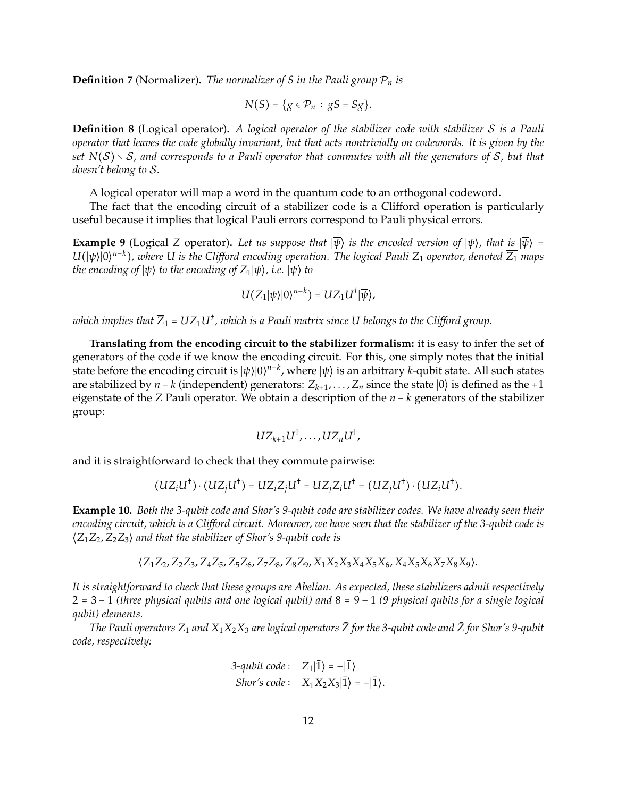**Definition 7** (Normalizer). The normalizer of S in the Pauli group  $P_n$  is

$$
N(S) = \{g \in \mathcal{P}_n : gS = Sg\}.
$$

**Definition 8** (Logical operator)**.** *A logical operator of the stabilizer code with stabilizer* S *is a Pauli operator that leaves the code globally invariant, but that acts nontrivially on codewords. It is given by the set N*(S) <sup>∖</sup> <sup>S</sup>*, and corresponds to a Pauli operator that commutes with all the generators of* <sup>S</sup>*, but that doesn't belong to* S*.*

A logical operator will map a word in the quantum code to an orthogonal codeword.

The fact that the encoding circuit of a stabilizer code is a Clifford operation is particularly useful because it implies that logical Pauli errors correspond to Pauli physical errors.

**Example 9** (Logical *Z* operator). Let us suppose that  $|\overline{\psi}\rangle$  is the encoded version of  $|\psi\rangle$ *, that is*  $|\overline{\psi}\rangle$  =  $U(|\psi\rangle|0\rangle^{n-k})$ , where U is the Clifford encoding operation. The logical Pauli Z<sub>1</sub> operator, denoted  $\overline{Z_1}$  maps *the encoding of*  $|\psi\rangle$  *to the encoding of*  $Z_1|\psi\rangle$ *, i.e.*  $|\overline{\psi}\rangle$  *to* 

$$
U(Z_1|\psi\rangle|0\rangle^{n-k})=UZ_1U^{\dagger}|\overline{\psi}\rangle,
$$

which implies that  $\overline{Z}_1 = UZ_1U^{\dagger}$  , which is a Pauli matrix since U belongs to the Clifford group.

**Translating from the encoding circuit to the stabilizer formalism:** it is easy to infer the set of generators of the code if we know the encoding circuit. For this, one simply notes that the initial state before the encoding circuit is  $|\psi\rangle|0\rangle^{n-k}$ , where  $|\psi\rangle$  is an arbitrary *k*-qubit state. All such states are at higher and the state of the state of the state of the state of the state of the state of the state are stabilized by *n* − *k* (independent) generators: *Zk*+<sup>1</sup> , . . . , *<sup>Z</sup><sup>n</sup>* since the state <sup>∣</sup>0⟩ is defined as the <sup>+</sup><sup>1</sup> eigenstate of the *Z* Pauli operator. We obtain a description of the *n* − *k* generators of the stabilizer group:

$$
UZ_{k+1}U^{\dagger},\ldots, UZ_nU^{\dagger},
$$

and it is straightforward to check that they commute pairwise:

$$
(UZ_iU^{\dagger})\cdot (UZ_jU^{\dagger})=UZ_iZ_jU^{\dagger}=UZ_jZ_iU^{\dagger}=(UZ_jU^{\dagger})\cdot (UZ_iU^{\dagger}).
$$

**Example 10.** *Both the 3-qubit code and Shor's 9-qubit code are stabilizer codes. We have already seen their encoding circuit, which is a Clifford circuit. Moreover, we have seen that the stabilizer of the 3-qubit code is* ⟨*Z*1*Z*2, *<sup>Z</sup>*2*Z*3⟩ *and that the stabilizer of Shor's 9-qubit code is*

$$
\langle Z_1 Z_2, Z_2 Z_3, Z_4 Z_5, Z_5 Z_6, Z_7 Z_8, Z_8 Z_9, X_1 X_2 X_3 X_4 X_5 X_6, X_4 X_5 X_6 X_7 X_8 X_9 \rangle.
$$

*It is straightforward to check that these groups are Abelian. As expected, these stabilizers admit respectively* <sup>2</sup> <sup>=</sup> <sup>3</sup> <sup>−</sup> <sup>1</sup> *(three physical qubits and one logical qubit) and* <sup>8</sup> <sup>=</sup> <sup>9</sup> <sup>−</sup> <sup>1</sup> *(9 physical qubits for a single logical qubit) elements.*

*The Pauli operators*  $Z_1$  *and*  $X_1X_2X_3$  *are logical operators*  $\bar{Z}$  *for the 3-qubit code and*  $\bar{Z}$  *for Shor's* 9-qubit *code, respectively:*

3-qubit code: 
$$
Z_1|\overline{1}\rangle = -|\overline{1}\rangle
$$
  
Shor's code:  $X_1X_2X_3|\overline{1}\rangle = -|\overline{1}\rangle$ .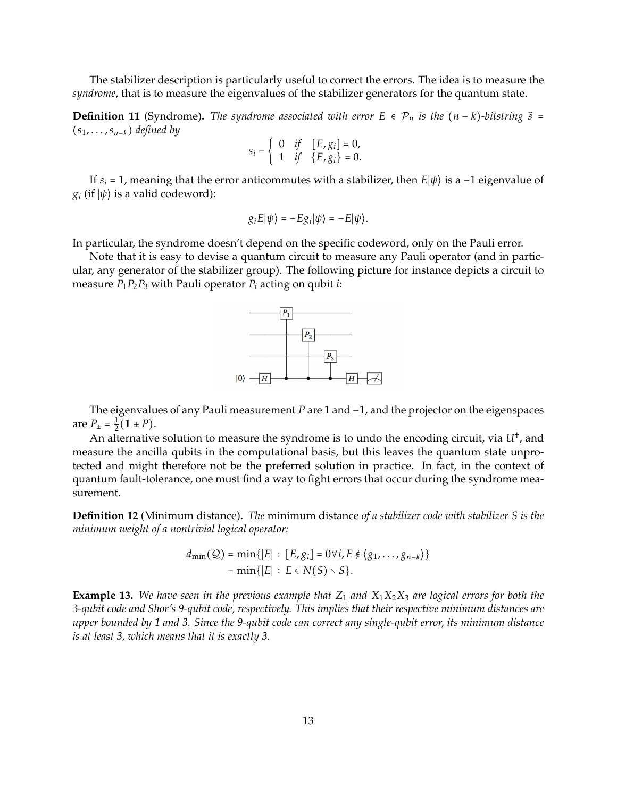The stabilizer description is particularly useful to correct the errors. The idea is to measure the *syndrome*, that is to measure the eigenvalues of the stabilizer generators for the quantum state.

**Definition 11** (Syndrome). The syndrome associated with error  $E \in \mathcal{P}_n$  is the  $(n - k)$ *-bitstring*  $\vec{s}$  = (*s*1, . . . ,*sn*−*k*) *defined by*

$$
s_i = \begin{cases} 0 & if \quad [E, g_i] = 0, \\ 1 & if \quad \{E, g_i\} = 0. \end{cases}
$$

If  $s_i = 1$ , meaning that the error anticommutes with a stabilizer, then  $E|\psi\rangle$  is a -1 eigenvalue of  $g_i$  (if  $|\psi\rangle$  is a valid codeword):

$$
g_i E|\psi\rangle = -E g_i|\psi\rangle = -E|\psi\rangle.
$$

In particular, the syndrome doesn't depend on the specific codeword, only on the Pauli error.

Note that it is easy to devise a quantum circuit to measure any Pauli operator (and in particular, any generator of the stabilizer group). The following picture for instance depicts a circuit to measure  $P_1P_2P_3$  with Pauli operator  $P_i$  acting on qubit *i*:



The eigenvalues of any Pauli measurement *P* are 1 and −1, and the projector on the eigenspaces are  $P_{\pm} = \frac{1}{2}$  $\frac{1}{2}(\mathbb{1} \pm P).$ 

An alternative solution to measure the syndrome is to undo the encoding circuit*,* via  $U^\dagger$ , and measure the ancilla qubits in the computational basis, but this leaves the quantum state unprotected and might therefore not be the preferred solution in practice. In fact, in the context of quantum fault-tolerance, one must find a way to fight errors that occur during the syndrome measurement.

**Definition 12** (Minimum distance)**.** *The* minimum distance *of a stabilizer code with stabilizer S is the minimum weight of a nontrivial logical operator:*

$$
d_{\min}(Q) = \min\{|E| : [E, g_i] = 0 \forall i, E \notin \langle g_1, \dots, g_{n-k} \rangle\}
$$
  
=  $\min\{|E| : E \in N(S) \setminus S\}.$ 

**Example 13.** We have seen in the previous example that  $Z_1$  and  $X_1X_2X_3$  are logical errors for both the *3-qubit code and Shor's 9-qubit code, respectively. This implies that their respective minimum distances are upper bounded by 1 and 3. Since the 9-qubit code can correct any single-qubit error, its minimum distance is at least 3, which means that it is exactly 3.*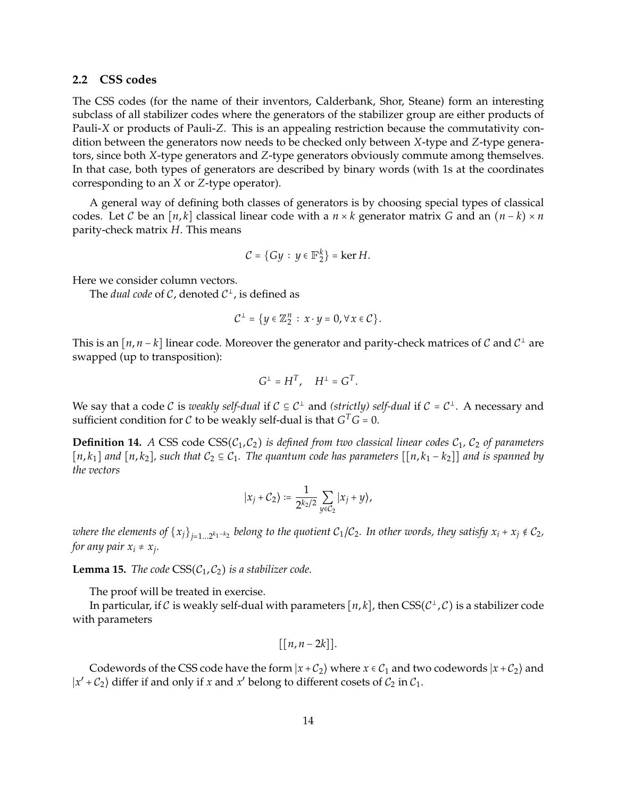## **2.2 CSS codes**

The CSS codes (for the name of their inventors, Calderbank, Shor, Steane) form an interesting subclass of all stabilizer codes where the generators of the stabilizer group are either products of Pauli-*X* or products of Pauli-*Z*. This is an appealing restriction because the commutativity condition between the generators now needs to be checked only between *X*-type and *Z*-type generators, since both *X*-type generators and *Z*-type generators obviously commute among themselves. In that case, both types of generators are described by binary words (with 1s at the coordinates corresponding to an *X* or *Z*-type operator).

A general way of defining both classes of generators is by choosing special types of classical codes. Let C be an  $[n, k]$  classical linear code with a  $n \times k$  generator matrix G and an  $(n - k) \times n$ parity-check matrix *H*. This means

$$
\mathcal{C} = \{ Gy : y \in \mathbb{F}_2^k \} = \ker H.
$$

Here we consider column vectors.

The *dual code* of C, denoted  $C^{\perp}$ , is defined as

$$
\mathcal{C}^{\perp} = \{y \in \mathbb{Z}_2^n : x \cdot y = 0, \forall x \in \mathcal{C}\}.
$$

This is an  $[n, n-k]$  linear code. Moreover the generator and parity-check matrices of  $\mathcal C$  and  $\mathcal C^{\perp}$  are swapped (up to transposition):

$$
G^{\perp} = H^T, \quad H^{\perp} = G^T.
$$

We say that a code C is *weakly self-dual* if  $C \subseteq C^{\perp}$  and *(strictly) self-dual* if  $C = C^{\perp}$ . A necessary and  $\alpha$  if  $\alpha$  is the supplier of the strictly  $\alpha$  of  $C$  or  $\alpha$ . sufficient condition for  $C$  to be weakly self-dual is that  $G^T G = 0$ .

**Definition 14.** *A* CSS code CSS( $C_1$ ,  $C_2$ ) *is defined from two classical linear codes*  $C_1$ ,  $C_2$  *of parameters*  $[n, k_1]$  *and*  $[n, k_2]$ *, such that*  $C_2 \subseteq C_1$ *. The quantum code has parameters*  $[[n, k_1 - k_2]]$  *and is spanned by the vectors*

$$
|x_j + C_2\rangle := \frac{1}{2^{k_2/2}} \sum_{y \in C_2} |x_j + y\rangle,
$$

*where the elements of*  $\{x_j\}_{j=1...2^{k_1-k_2}}$  *belong to the quotient*  $\mathcal{C}_1/\mathcal{C}_2$ *. In other words, they satisfy*  $x_i + x_j \notin \mathcal{C}_2$ *,* for any pair  $x_i \neq x_j$ .

**Lemma 15.** *The code*  $CSS(C_1, C_2)$  *is a stabilizer code.* 

The proof will be treated in exercise.

In particular, if *C* is weakly self-dual with parameters [n, *k*], then CSS(*C*<sup>⊥</sup>,*C*) is a stabilizer code<br>b regameters with parameters

$$
[[n, n-2k]].
$$

Codewords of the CSS code have the form  $|x + C_2\rangle$  where  $x \in C_1$  and two codewords  $|x + C_2\rangle$  and  $|x' + C_2\rangle$  differ if and only if *x* and *x*<sup>*'*</sup> belong to different cosets of  $C_2$  in  $C_1$ .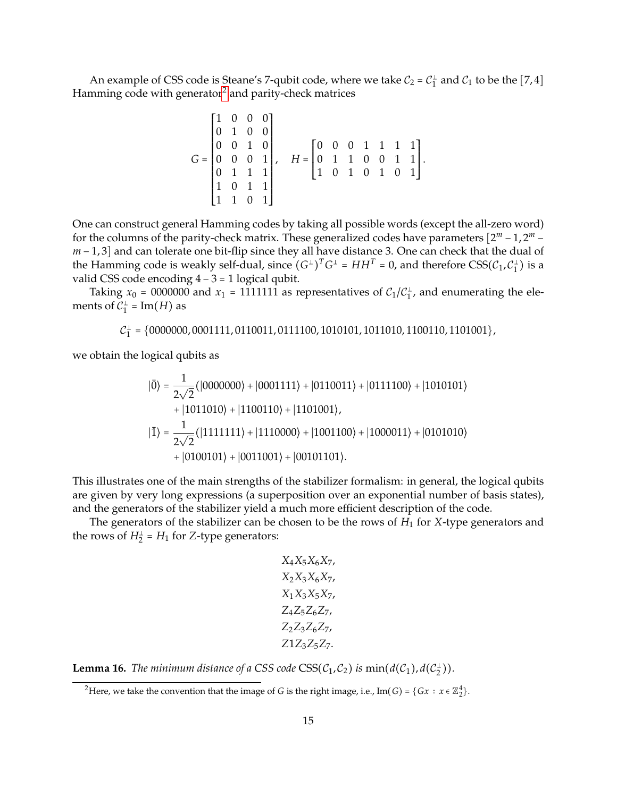An example of CSS code is Steane's 7-qubit code, where we take  $C_2 = C_1^{\perp}$  and  $C_1$  to be the [7,4] Hamming code with generator $^2$  $^2$  and parity-check matrices

$$
G = \begin{bmatrix} 1 & 0 & 0 & 0 \\ 0 & 1 & 0 & 0 \\ 0 & 0 & 1 & 0 \\ 0 & 0 & 0 & 1 \\ 0 & 1 & 1 & 1 \\ 1 & 0 & 1 & 1 \\ 1 & 1 & 0 & 1 \end{bmatrix}, \quad H = \begin{bmatrix} 0 & 0 & 0 & 1 & 1 & 1 \\ 0 & 1 & 1 & 0 & 0 & 1 & 1 \\ 1 & 0 & 1 & 0 & 1 & 0 & 1 \\ 1 & 0 & 1 & 0 & 1 & 0 & 1 \end{bmatrix}.
$$

One can construct general Hamming codes by taking all possible words (except the all-zero word) for the columns of the parity-check matrix. These generalized codes have parameters  $[2^m - 1, 2^m$ *m* − 1, 3] and can tolerate one bit-flip since they all have distance 3. One can check that the dual of the state of the state of the state of the state of the state of the state of the state of the state of the state of the Hamming code is weakly self-dual, since  $(G^{\perp})^T G^{\perp} = HH^T = 0$ , and therefore  $CSS(\mathcal{C}_1, \mathcal{C}_1^{\perp})$  is a small of  $GSE$  and a maniformal self-dual, since  $(G^{\perp})^T G^{\perp} = HH^T = 0$ , and therefore  $CSS(\mathcal{C}_1, \mathcal{C}_1^{\perp})$ valid CSS code encoding  $4 - 3 = 1$  logical qubit.

Taking  $x_0 = 0000000$  and  $x_1 = 1111111$  as representatives of  $C_1/C_1^{\perp}$ , and enumerating the elements of  $C_1^{\perp}$  = Im(*H*) as

$$
C_1^{\perp} = \{0000000, 0001111, 0110011, 0111100, 1010101, 1011010, 1100110, 1101001\},\
$$

we obtain the logical qubits as

$$
|\bar{0}\rangle = \frac{1}{2\sqrt{2}} (|0000000\rangle + |0001111\rangle + |0110011\rangle + |0111100\rangle + |1010101\rangle + |1011010\rangle + |1100110\rangle + |1101001\rangle, |\bar{1}\rangle = \frac{1}{2\sqrt{2}} (|1111111\rangle + |1110000\rangle + |1001100\rangle + |1000011\rangle + |0101010\rangle + |0100101\rangle + |0011001\rangle + |00101101\rangle.
$$

This illustrates one of the main strengths of the stabilizer formalism: in general, the logical qubits are given by very long expressions (a superposition over an exponential number of basis states), and the generators of the stabilizer yield a much more efficient description of the code.

The generators of the stabilizer can be chosen to be the rows of *H*<sup>1</sup> for *X*-type generators and the rows of  $H_2^{\perp}$  =  $H_1$  for *Z*-type generators:

$$
X_4X_5X_6X_7,
$$
  
\n
$$
X_2X_3X_6X_7,
$$
  
\n
$$
X_1X_3X_5X_7,
$$
  
\n
$$
Z_4Z_5Z_6Z_7,
$$
  
\n
$$
Z_2Z_3Z_6Z_7,
$$
  
\n
$$
Z_1Z_3Z_5Z_7.
$$

**Lemma 16.** *The minimum distance of a CSS code*  $CSS(C_1, C_2)$  *is*  $min(d(C_1), d(C_2^{\perp}))$ *.* 

<span id="page-14-0"></span><sup>&</sup>lt;sup>2</sup>Here, we take the convention that the image of *G* is the right image, i.e., Im(*G*) = {*Gx* :  $x \in \mathbb{Z}_2^4$  }.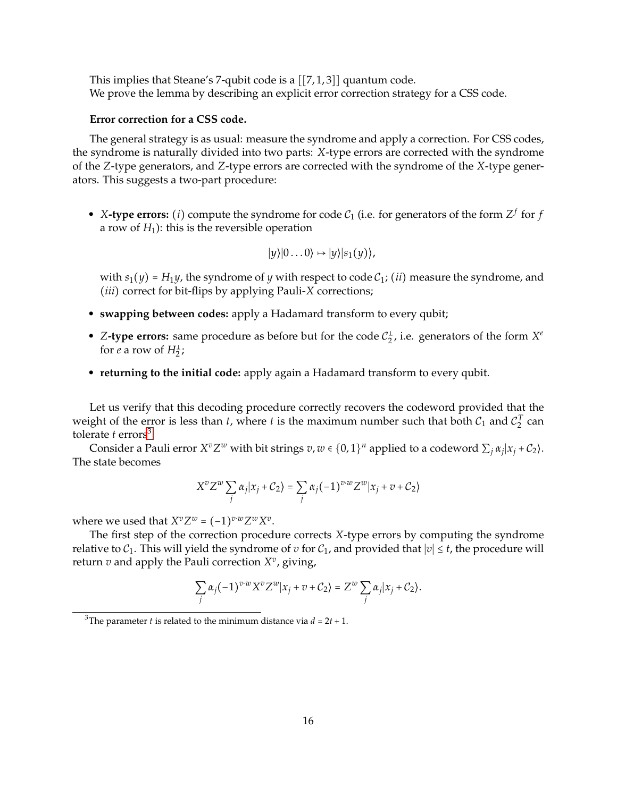This implies that Steane's 7-qubit code is a [[7, 1, 3]] quantum code. We prove the lemma by describing an explicit error correction strategy for a CSS code.

## **Error correction for a CSS code.**

The general strategy is as usual: measure the syndrome and apply a correction. For CSS codes, the syndrome is naturally divided into two parts: *X*-type errors are corrected with the syndrome of the *Z*-type generators, and *Z*-type errors are corrected with the syndrome of the *X*-type generators. This suggests a two-part procedure:

• *X*-type errors: (*i*) compute the syndrome for code  $C_1$  (i.e. for generators of the form  $Z^f$  for *f* a row of  $H_1$ ): this is the reversible operation

$$
|y\rangle|0\ldots0\rangle \mapsto |y\rangle|s_1(y)\rangle,
$$

with  $s_1(y) = H_1y$ , the syndrome of *y* with respect to code  $C_1$ ; (*ii*) measure the syndrome, and (*iii*) correct for bit-flips by applying Pauli-*<sup>X</sup>* corrections;

- **swapping between codes:** apply a Hadamard transform to every qubit;
- *Z*-type errors: same procedure as before but for the code  $C_2^{\perp}$ , i.e. generators of the form  $X^e$ for *e* a row of  $H_2^{\perp}$ ;
- **returning to the initial code:** apply again a Hadamard transform to every qubit.

Let us verify that this decoding procedure correctly recovers the codeword provided that the weight of the error is less than *t*, where *t* is the maximum number such that both  $C_1$  and  $C_2^T$  can tolerate  $t$  errors<sup>[3](#page-15-0)</sup>.

Consider a Pauli error  $X^vZ^w$  with bit strings  $v, w \in \{0, 1\}^n$  applied to a codeword  $\sum_j \alpha_j |x_j + C_2\rangle$ . The state becomes

$$
X^vZ^w\sum_j\alpha_j|x_j+\mathcal{C}_2\rangle=\sum_j\alpha_j(-1)^{v\cdot w}Z^w|x_j+v+\mathcal{C}_2\rangle
$$

where we used that  $X^v Z^w = (-1)^{v \cdot w} Z^w X^v$ .<br>The first star of the convection are sold

The first step of the correction procedure corrects *X*-type errors by computing the syndrome relative to  $C_1$ . This will yield the syndrome of *v* for  $C_1$ , and provided that  $|v| \le t$ , the procedure will return  $v$  and apply the Pauli correction  $X^v$ , giving,

$$
\sum_j \alpha_j (-1)^{v \cdot w} X^v Z^w | x_j + v + C_2 \rangle = Z^w \sum_j \alpha_j | x_j + C_2 \rangle.
$$

<span id="page-15-0"></span><sup>&</sup>lt;sup>3</sup>The parameter *t* is related to the minimum distance via  $d = 2t + 1$ .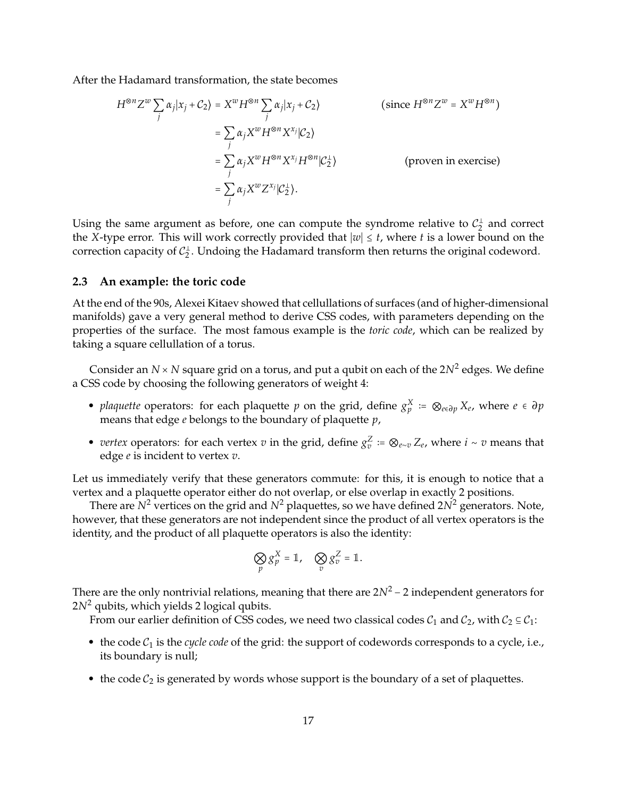After the Hadamard transformation, the state becomes

$$
H^{\otimes n} Z^{w} \sum_{j} \alpha_{j} |x_{j} + C_{2} \rangle = X^{w} H^{\otimes n} \sum_{j} \alpha_{j} |x_{j} + C_{2} \rangle
$$
 (since  $H^{\otimes n} Z^{w} = X^{w} H^{\otimes n} \rangle$   
\n
$$
= \sum_{j} \alpha_{j} X^{w} H^{\otimes n} X^{x_{j}} |C_{2} \rangle
$$
  
\n
$$
= \sum_{j} \alpha_{j} X^{w} H^{\otimes n} X^{x_{j}} H^{\otimes n} |C_{2}^{\perp} \rangle
$$
 (proven in exercise)  
\n
$$
= \sum_{j} \alpha_{j} X^{w} Z^{x_{j}} |C_{2}^{\perp} \rangle.
$$

Using the same argument as before, one can compute the syndrome relative to  $\mathcal{C}_2^{\perp}$  and correct the *<sup>X</sup>*-type error. This will work correctly provided that <sup>∣</sup>*w*<sup>∣</sup> <sup>≤</sup> *<sup>t</sup>*, where *<sup>t</sup>* is a lower bound on the correction capacity of  $\mathcal{C}_2^{\perp}$ . Undoing the Hadamard transform then returns the original codeword.

## **2.3 An example: the toric code**

At the end of the 90s, Alexei Kitaev showed that cellullations of surfaces (and of higher-dimensional manifolds) gave a very general method to derive CSS codes, with parameters depending on the properties of the surface. The most famous example is the *toric code*, which can be realized by taking a square cellullation of a torus.

Consider an  $N \times N$  square grid on a torus, and put a qubit on each of the  $2N^2$  edges. We define a CSS code by choosing the following generators of weight 4:

- *plaquette* operators: for each plaquette *p* on the grid, define  $g_p^X := \otimes_{e \in \partial p} X_e$ , where  $e \in \partial p$ means that edge *e* belongs to the boundary of plaquette *p*,
- *vertex* operators: for each vertex *v* in the grid, define  $g_v^Z := \mathcal{Q}_{e \sim v} Z_e$ , where  $i \sim v$  means that edge *e* is incident to vertex *v*.

Let us immediately verify that these generators commute: for this, it is enough to notice that a vertex and a plaquette operator either do not overlap, or else overlap in exactly 2 positions.

There are  $N^2$  vertices on the grid and  $N^2$  plaquettes, so we have defined  $2N^2$  generators. Note, however, that these generators are not independent since the product of all vertex operators is the identity, and the product of all plaquette operators is also the identity:

$$
\bigotimes_p g_p^X = \mathbb{1}, \quad \bigotimes_v g_v^Z = \mathbb{1}.
$$

There are the only nontrivial relations, meaning that there are 2*N*<sup>2</sup> <sup>−</sup> 2 independent generators for 2*N*<sup>2</sup> qubits, which yields 2 logical qubits.

From our earlier definition of CSS codes, we need two classical codes  $C_1$  and  $C_2$ , with  $C_2 \subseteq C_1$ :

- $\bullet$  the code  $C_1$  is the *cycle code* of the grid: the support of codewords corresponds to a cycle, i.e., its boundary is null;
- the code  $C_2$  is generated by words whose support is the boundary of a set of plaquettes.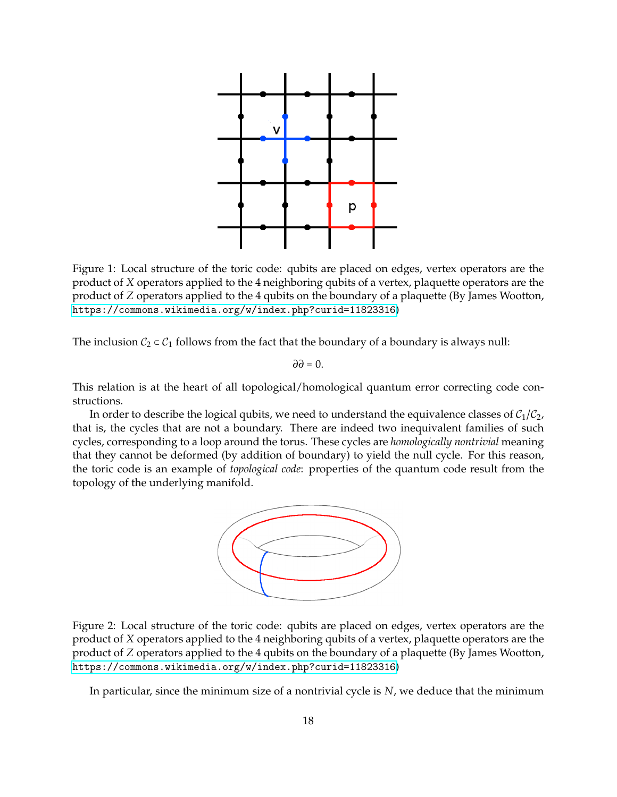

Figure 1: Local structure of the toric code: qubits are placed on edges, vertex operators are the product of *X* operators applied to the 4 neighboring qubits of a vertex, plaquette operators are the product of *Z* operators applied to the 4 qubits on the boundary of a plaquette (By James Wootton, <https://commons.wikimedia.org/w/index.php?curid=11823316>)

The inclusion  $C_2 \subset C_1$  follows from the fact that the boundary of a boundary is always null:

*∂∂* = 0.

This relation is at the heart of all topological/homological quantum error correcting code constructions.

In order to describe the logical qubits, we need to understand the equivalence classes of  $C_1/C_2$ , that is, the cycles that are not a boundary. There are indeed two inequivalent families of such cycles, corresponding to a loop around the torus. These cycles are *homologically nontrivial* meaning that they cannot be deformed (by addition of boundary) to yield the null cycle. For this reason, the toric code is an example of *topological code*: properties of the quantum code result from the topology of the underlying manifold.



Figure 2: Local structure of the toric code: qubits are placed on edges, vertex operators are the product of *X* operators applied to the 4 neighboring qubits of a vertex, plaquette operators are the product of *Z* operators applied to the 4 qubits on the boundary of a plaquette (By James Wootton, <https://commons.wikimedia.org/w/index.php?curid=11823316>)

In particular, since the minimum size of a nontrivial cycle is *N*, we deduce that the minimum